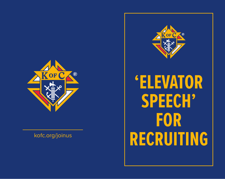



**'ELEVATOR FOR RUIT RECRUITING**<br>External property of the property of the property of the property of the property of the property of the proper<br>External property of the property of the property of the property of the property of the property